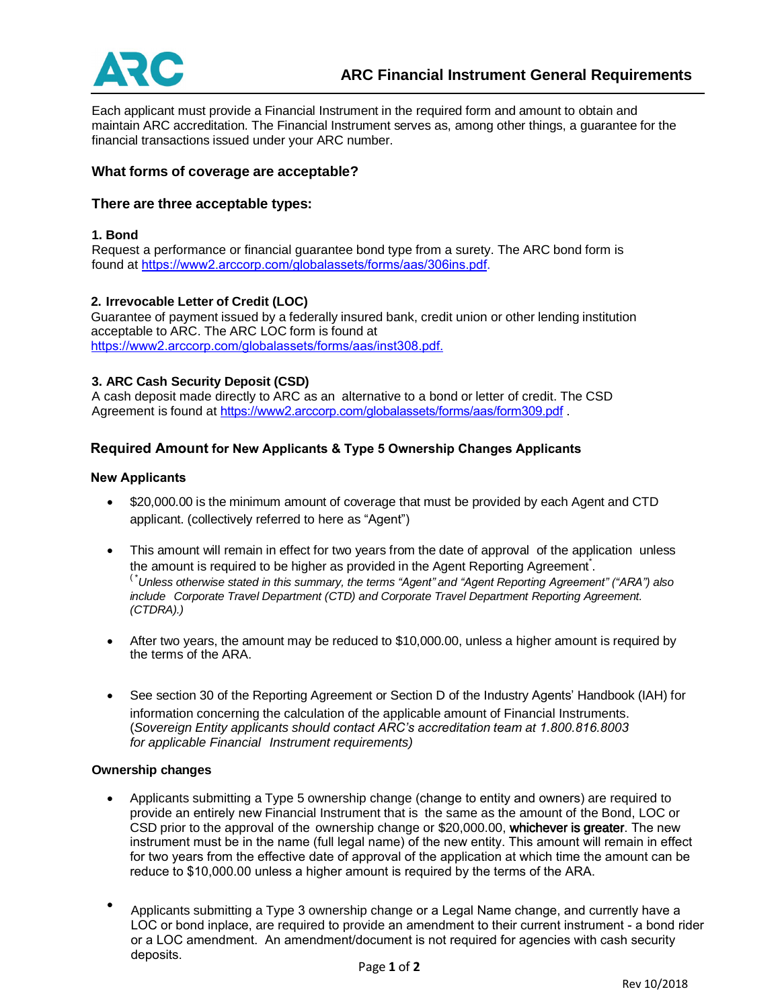

Each applicant must provide a Financial Instrument in the required form and amount to obtain and maintain ARC accreditation. The Financial Instrument serves as, among other things, a guarantee for the financial transactions issued under your ARC number.

# **What forms of coverage are acceptable?**

# **There are three acceptable types:**

### **1. Bond**

Request a performance or financial guarantee bond type from a surety. The ARC bond form is found at [https://www2.arccorp.com/globalassets/forms/aas/306ins.pdf.](https://www2.arccorp.com/globalassets/forms/aas/306ins.pdf)

### **2. Irrevocable Letter of Credit (LOC)**

Guarantee of payment issued by a federally insured bank, credit union or other lending institution acceptable to ARC. The ARC LOC form is found at <https://www2.arccorp.com/globalassets/forms/aas/inst308.pdf>.

### **3. ARC Cash Security Deposit (CSD)**

A cash deposit made directly to ARC as an alternative to a bond or letter of credit. The CSD Agreement is found at <https://www2.arccorp.com/globalassets/forms/aas/form309.pdf> .

# **Required Amount for New Applicants & Type 5 Ownership Changes Applicants**

### **New Applicants**

- \$20,000.00 is the minimum amount of coverage that must be provided by each Agent and CTD applicant. (collectively referred to here as "Agent")
- This amount will remain in effect for two years from the date of approval of the application unless the amount is required to be higher as provided in the Agent Reporting Agreement. ( \**Unless otherwise stated in this summary, the terms "Agent" and "Agent Reporting Agreement" ("ARA") also include Corporate Travel Department (CTD) and Corporate Travel Department Reporting Agreement. (CTDRA).)*
- After two years, the amount may be reduced to \$10,000.00, unless a higher amount is required by the terms of the ARA.
- See section 30 of the Reporting Agreement or Section D of the Industry Agents' Handbook (IAH) for information concerning the calculation of the applicable amount of Financial Instruments. (*Sovereign Entity applicants should contact ARC's accreditation team at 1.800.816.8003 for applicable Financial Instrument requirements)*

### **Ownership changes**

- Applicants submitting a Type 5 ownership change (change to entity and owners) are required to provide an entirely new Financial Instrument that is the same as the amount of the Bond, LOC or CSD prior to the approval of the ownership change or \$20,000.00, whichever is greater. The new instrument must be in the name (full legal name) of the new entity. This amount will remain in effect for two years from the effective date of approval of the application at which time the amount can be reduce to \$10,000.00 unless a higher amount is required by the terms of the ARA.
- Applicants submitting a Type 3 ownership change or a Legal Name change, and currently have a LOC or bond inplace, are required to provide an amendment to their current instrument - a bond rider or a LOC amendment. An amendment/document is not required for agencies with cash security deposits.